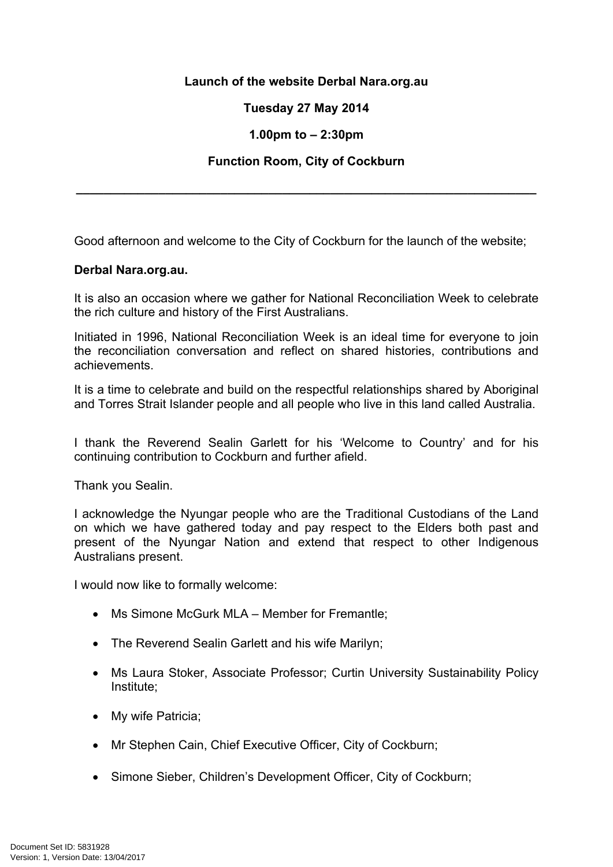## **Launch of the website Derbal Nara.org.au**

# **Tuesday 27 May 2014**

### **1.00pm to – 2:30pm**

### **Function Room, City of Cockburn**

**\_\_\_\_\_\_\_\_\_\_\_\_\_\_\_\_\_\_\_\_\_\_\_\_\_\_\_\_\_\_\_\_\_\_\_\_\_\_\_\_\_\_\_\_\_\_\_\_\_\_\_\_\_\_\_\_\_\_\_\_\_\_\_\_\_\_\_**

Good afternoon and welcome to the City of Cockburn for the launch of the website;

#### **Derbal Nara.org.au.**

It is also an occasion where we gather for National Reconciliation Week to celebrate the rich culture and history of the First Australians.

Initiated in 1996, National Reconciliation Week is an ideal time for everyone to join the reconciliation conversation and reflect on shared histories, contributions and achievements.

It is a time to celebrate and build on the respectful relationships shared by Aboriginal and Torres Strait Islander people and all people who live in this land called Australia.

I thank the Reverend Sealin Garlett for his 'Welcome to Country' and for his continuing contribution to Cockburn and further afield.

Thank you Sealin.

I acknowledge the Nyungar people who are the Traditional Custodians of the Land on which we have gathered today and pay respect to the Elders both past and present of the Nyungar Nation and extend that respect to other Indigenous Australians present.

I would now like to formally welcome:

- Ms Simone McGurk MLA Member for Fremantle;
- The Reverend Sealin Garlett and his wife Marilyn;
- Ms Laura Stoker, Associate Professor; Curtin University Sustainability Policy Institute;
- My wife Patricia;
- Mr Stephen Cain, Chief Executive Officer, City of Cockburn;
- Simone Sieber, Children's Development Officer, City of Cockburn;